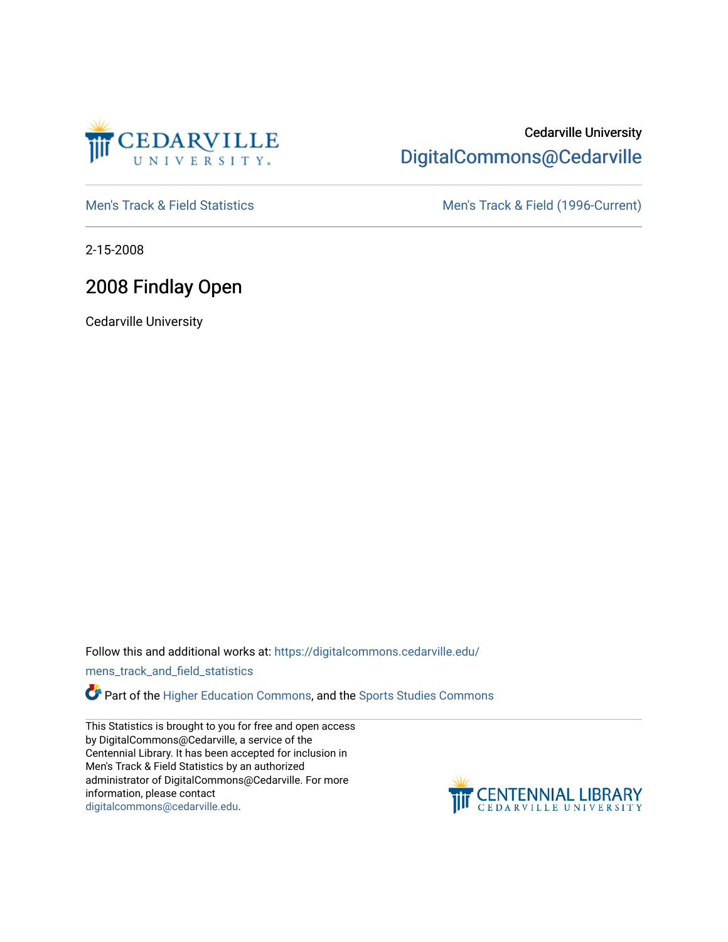

### Cedarville University [DigitalCommons@Cedarville](https://digitalcommons.cedarville.edu/)

[Men's Track & Field Statistics](https://digitalcommons.cedarville.edu/mens_track_and_field_statistics) [Men's Track & Field \(1996-Current\)](https://digitalcommons.cedarville.edu/mens_track_and_field) 

2-15-2008

# 2008 Findlay Open

Cedarville University

Follow this and additional works at: [https://digitalcommons.cedarville.edu/](https://digitalcommons.cedarville.edu/mens_track_and_field_statistics?utm_source=digitalcommons.cedarville.edu%2Fmens_track_and_field_statistics%2F197&utm_medium=PDF&utm_campaign=PDFCoverPages)

[mens\\_track\\_and\\_field\\_statistics](https://digitalcommons.cedarville.edu/mens_track_and_field_statistics?utm_source=digitalcommons.cedarville.edu%2Fmens_track_and_field_statistics%2F197&utm_medium=PDF&utm_campaign=PDFCoverPages)

**Part of the [Higher Education Commons,](http://network.bepress.com/hgg/discipline/1245?utm_source=digitalcommons.cedarville.edu%2Fmens_track_and_field_statistics%2F197&utm_medium=PDF&utm_campaign=PDFCoverPages) and the Sports Studies Commons** 

This Statistics is brought to you for free and open access by DigitalCommons@Cedarville, a service of the Centennial Library. It has been accepted for inclusion in Men's Track & Field Statistics by an authorized administrator of DigitalCommons@Cedarville. For more information, please contact [digitalcommons@cedarville.edu](mailto:digitalcommons@cedarville.edu).

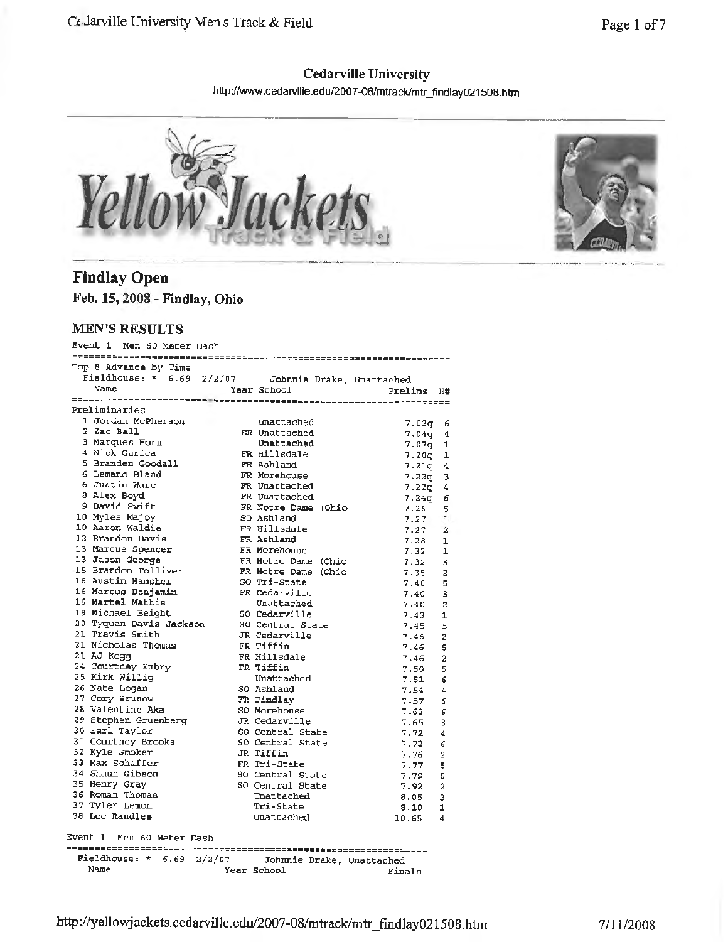### **Cedarville University**  http://www.cedarville.edu/2007-08/mtrack/mtr\_findlay021508.htm



## **Findlay Open**

**Feb. 15, 2008 - Findlay, Ohio** 

#### **MEN'S RESULTS**

| Event 1 Men 60 Meter Dash                   |        |                     |                           |                         |
|---------------------------------------------|--------|---------------------|---------------------------|-------------------------|
|                                             |        |                     |                           |                         |
| Top 8 Advance by Time<br>Fieldhouse: * 6.69 |        |                     |                           |                         |
| Name                                        | 2/2/07 |                     | Johnnie Drake, Unattached |                         |
|                                             |        | Year School         | Prelims                   | Н#                      |
| Preliminaries                               |        |                     |                           |                         |
| 1 Jordan McPherson                          |        | Unattached          |                           |                         |
| 2 Zac Ball                                  |        | SR Unattached       | 7.02q                     | 6                       |
| 3 Marques Horn                              |        | Unattached          | 7.04q                     | 4                       |
| 4 Nick Gurica                               |        | FR Hillsdale        | 7.07q                     | 1                       |
| 5 Branden Goodall                           |        | FR Ashland          | 7.20a                     | 1                       |
| 6 Lemano Bland                              |        | FR Morehouse        | $7.21q$ 4                 |                         |
| 6 Justin Ware                               |        | FR Unattached       | 7.22q                     | з                       |
| 8 Alex Boyd                                 |        | FR Unattached       | 7.22q                     | 4<br>6                  |
| 9 David Swift                               |        | FR Notre Dame (Ohio | 7.24g<br>7.26             | 5                       |
| 10 Myles Majoy                              |        | SO Ashland          | 7.27                      | ı                       |
| 10 Aaron Waldie                             |        | FR Hillsdale        | 7.27                      | $\overline{\mathbf{2}}$ |
| 12 Brandon Davis                            |        | FR Ashland          | 7.28                      | 1                       |
| 13 Marcus Spencer                           |        | FR Morehouse        | 7.32                      | $\mathbf{1}$            |
| 13 Jason George                             |        | FR Notre Dame (Ohio | 7.32                      | 3                       |
| 15 Brandon Tolliver                         |        | FR Notre Dame (Ohio | 7.35                      | $\overline{a}$          |
| 16 Austin Hamsher                           |        | SO Tri-State        | 7.40                      | 5                       |
| 16 Marcus Benjamin                          |        | FR Cedarville       | 7.40                      | 3                       |
| 16 Martel Mathis                            |        | Unattached          | 7.40                      | $\overline{a}$          |
| 19 Michael Beight                           |        | SO Cedarville       | 7.43                      | $\mathbf{1}$            |
| 20 Tyquan Davis-Jackson                     |        | SO Central State    | 7.45                      | 5                       |
| 21 Travis Smith                             |        | JR Cedarville       | 7.46                      | $\overline{2}$          |
| 21 Nicholas Thomas                          |        | FR Tiffin           | 7.46                      | 5                       |
| 21 AJ Kega                                  |        | FR Hillsdale        | 7.46                      | $\overline{z}$          |
| 24 Courtney Embry                           |        | FR Tiffin           | 7.50                      | 5                       |
| 25 Kirk Willig                              |        | Unattached          | 7.51                      | 6                       |
| 26 Nate Logan                               |        | SO Ashland          | 7.54                      | 4                       |
| 27 Cory Brunow                              |        | FR Findlay          | 7.57                      | 6                       |
| 28 Valentine Aka                            |        | SO Morehouse        | 7.63                      | 6                       |
| 29 Stephen Gruenberg                        |        | JR Cedarville       | 7.65                      | 3                       |
| 30 Earl Taylor                              |        | SO Central State    | 7.72                      | 4                       |
| 31 Courtney Brooks                          |        | SO Central State    | 7.73                      | 6                       |
| 32 Kyle Smoker                              |        | JR Tiffin           | 7.76                      | 2                       |
| 33 Max Schaffer                             |        | FR Tri-State        | 7.77                      | 5                       |
| 34 Shaun Gibson                             |        | SO Central State    | 7.79                      | 5                       |
| 35 Henry Gray                               |        | SO Central State    | 7.92                      | 2                       |
| 36 Roman Thomas                             |        | Unattached          | 8.05                      | э                       |
| 37 Tyler Lemon                              |        | Tri-State           | 8.10                      | 1                       |
| 38 Lee Randles                              |        | Unattached          | 10.65                     | 4                       |
| Event 1 Men 60 Meter Dash                   |        |                     |                           |                         |
|                                             |        |                     |                           |                         |
| Fieldhouse: $*$ 6.69 2/2/07<br>Name         |        | Year School         | Johnnie Drake, Unattached |                         |
|                                             |        |                     | Finals                    |                         |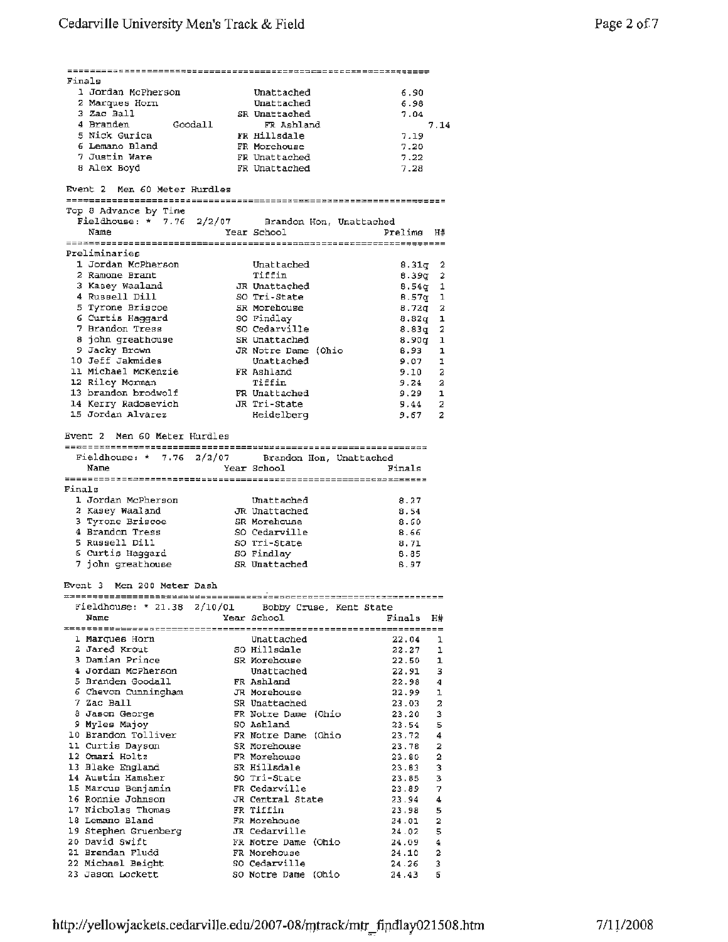|        | Finals                                                    |                               |                          |
|--------|-----------------------------------------------------------|-------------------------------|--------------------------|
|        | 1 Jordan McPherson                                        | Unattached                    | 6.90                     |
|        | 2 Marques Horn                                            | Unattached                    | 6.98                     |
|        | 3 Zac Ball<br>4 Branden                                   | SR Unattached                 | 7.04                     |
|        | Goodall<br>5 Nick Gurica                                  | FR Ashland<br>FR Hillsdale    | 7.14<br>7.19             |
|        | 6 Lemano Bland                                            | FR Morehouse                  | 7.20                     |
|        | 7 Justin Ware                                             | FR Unattached                 | 7.22                     |
|        | 8 Alex Boyd                                               | FR Unattached                 | 7.28                     |
|        | Event 2 Men 60 Meter Hurdles                              |                               |                          |
|        |                                                           |                               |                          |
|        | Top 8 Advance by Time                                     |                               |                          |
|        | Fieldhouse: * 7.76 2/2/07 Brandon Hon, Unattached<br>Name |                               |                          |
|        |                                                           | Year School                   | Prelims H#               |
|        | Preliminaries                                             |                               |                          |
|        | 1 Jordan McPherson                                        | Unattached                    | $8.31q$ 2                |
|        | 2 Ramone Brant                                            | Tiffin                        | $8.39q$ 2                |
|        | 3 Kasey Waaland                                           | JR Unattached                 | $8.54q$ 1                |
|        | 4 Russell Dill                                            | SO Tri-State                  | $B.57q$ 1                |
|        | 5 Tyrone Briscoe                                          | SR Morehouse                  | $8.72q$ 2                |
|        | 6 Curtis Haggard<br>7 Brandon Tress                       | SO Findlay<br>SO Cedarville   | $8.82q$ 1                |
|        | 8 john greathouse                                         | SR Unattached                 | $8.83q$ 2<br>8.90g 1     |
|        | 9 Jacky Brown                                             | JR Notre Dame (Ohio           | 8.93<br>1                |
|        | 10 Jeff Jakmides                                          | Unattached                    | 9.07<br>ı                |
|        | 11 Michael McKenzie                                       | FR Ashland                    | 2<br>9.10                |
|        | 12 Riley Morman                                           | Tiffin                        | 9.24<br>$\mathbf{a}$     |
|        | 13 brandon brodwolf                                       | FR Unattached                 | 9.29<br>$\mathbf{1}$     |
|        | 14 Kerry Radosevich JR Tri-State                          |                               | 9,44<br>2                |
|        | 15 Jordan Alvarez                                         | Heidelberg                    | $\overline{a}$<br>9.67   |
|        | Event 2 – Men 60 Meter Hurdles                            |                               |                          |
|        |                                                           |                               |                          |
|        | Fieldhouse: * 7.76 2/2/07 Brandon Hon, Unattached         |                               |                          |
|        | Name                                                      | Year School                   | Finals                   |
|        |                                                           |                               |                          |
| Finals |                                                           |                               |                          |
|        | 1 Jordan McPherson                                        | Unattached                    | 8.27                     |
|        | 2 Kasey Waaland                                           | JR Unattached                 | 8.54                     |
|        | 3 Tyrone Briscoe<br>4 Brandon Tress                       | SR Morehouse<br>SO Cedarville | 8.60<br>8.66             |
|        | 5 Russell Dill                                            | SO Tri-State                  | 8.71                     |
|        | 6 Curtis Haggard                                          | SO Findlay                    | 8.85                     |
|        | 7 john greathouse                                         | SR Unattached                 | 6.97                     |
|        |                                                           |                               |                          |
|        | Event 3 Men 200 Meter Dash                                |                               |                          |
|        | Fieldhouse: * 21.38 2/10/01 Bobby Cruse, Kent State       |                               |                          |
|        | Name                                                      | Year School                   | Finals<br>H#             |
|        |                                                           |                               |                          |
|        | 1 Marques Horn                                            | Unattached                    | 22.04<br>ı               |
|        | 2 Jared Krout                                             | SO Hillsdale                  | 22.27<br>1               |
|        | 3 Damian Prince                                           | SR Morehouse                  | 22.50<br>1               |
|        | 4 Jordan McPherson                                        | Unattached                    | 22.91<br>з               |
|        | 5 Branden Goodall<br>6 Chevon Cunningham                  | FR Ashland<br>JR Morehouse    | 22.98<br>4               |
|        | 7 Zac Ball                                                | SR Unattached                 | 22.99<br>ı<br>2<br>23.03 |
|        | 8 Jason George                                            | FR Notre Dame (Ohio           | 3<br>23.20               |
|        | 9 Myles Majoy                                             | SQ Ashland                    | 5<br>23.54               |
|        | 10 Brandon Tolliver                                       | FR Notre Dame (Ohio           | 23.72<br>4               |
|        | 11 Curtis Dayson                                          | SR Morehouse                  | 23.78<br>2               |
|        | 12 Omari Holtz                                            | FR Morehouse                  | 2<br>23.80               |
|        | 13 Blake England                                          | SR Hillsdale                  | 23.83<br>3               |
|        | 14 Austin Hamsher<br>15 Marcus Benjamin                   | SO Tri-State<br>FR Cedarville | 3<br>23.85               |
|        | 16 Ronnie Johnson                                         | JR Central State              | 7<br>23.89<br>4<br>23.94 |
|        | 17 Nicholas Thomas                                        | FR Tiffin                     | 5<br>23.98               |
|        | 18 Lemano Bland                                           | FR Morehouse                  | 2<br>24.01               |
|        | 19 Stephen Gruenberg                                      | JR Cedarville                 | 5<br>24.02               |
|        | 20 David Swift                                            | FR Notre Dame (Ohio           | 4<br>24.09               |
|        | 21 Brendan Fludd                                          | FR Morehouse                  | 2<br>24.10               |
|        | 22 Michael Beight                                         | SO Cedarville                 | 3<br>24.26               |
|        | 23 Jason Lockett                                          | SO Notre Dame (Ohio           | б<br>24.43               |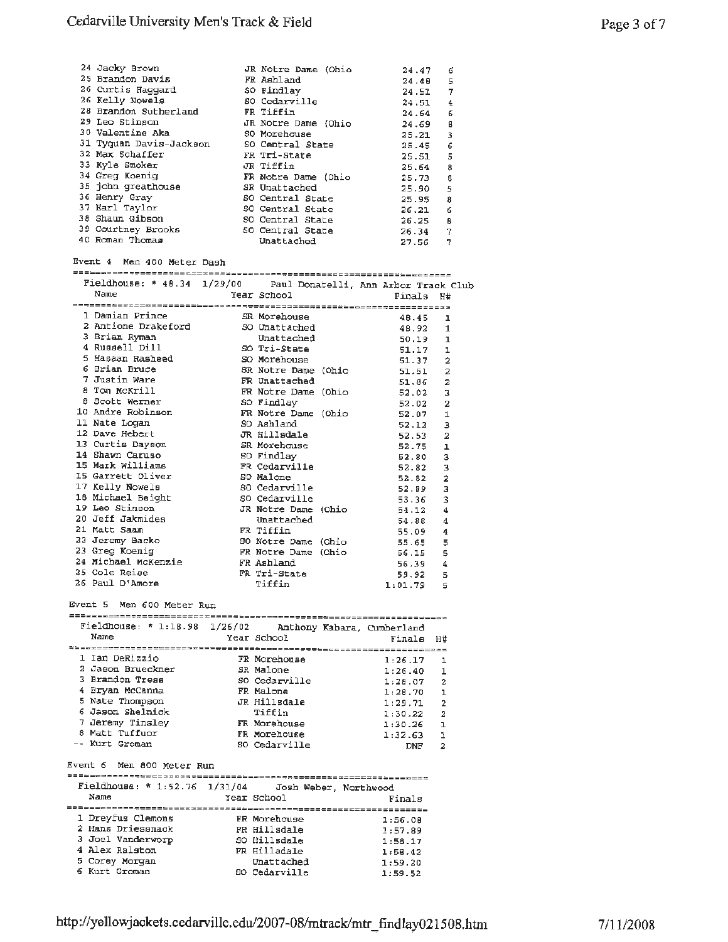| 24 Jacky Brown          | JR Notre Dame (Ohio |       |   |
|-------------------------|---------------------|-------|---|
|                         |                     | 24.47 | 6 |
| 25 Brandon Davis        | FR Ashland          | 24.48 | 5 |
| 26 Curtis Haggard       | SO Findlay          | 24.51 | 7 |
| 26 Kelly Nowels         | SO Cedarville       | 24.51 | 4 |
| 28 Brandon Sutherland   | FR Tiffin           | 24.64 | б |
| 29 Leo Stinson          | JR Notre Dame (Ohio | 24.69 | 8 |
| 30 Valentine Aka        | SO Morehouse        | 25.21 | 3 |
| 31 Tyquan Davis-Jackson | SO Central State    | 25.45 | 6 |
| 32 Max Schaffer         | FR Tri-State        | 25.51 | 5 |
| 33 Kyle Smoker          | JR Tiffin           | 25.64 | 8 |
| 34 Greg Koenig          | FR Notre Dame (Ohio | 25.73 | 8 |
| 35 john greathouse      | SR Unattached       | 25.90 | 5 |
| 36 Henry Gray           | SO Central State    | 25.95 | 8 |
| 37 Earl Taylor          | SO Central State    | 26.21 | 6 |
| 38 Shaun Gibson         | SO Central State    | 26.25 | в |
| 39 Courtney Brooks      | SO Central State    | 26.34 | 7 |
| 40 Roman Thomas         | Unattached          | 27.56 | 7 |

Event 4 Men 400 Meter Dash

| Fieldhouse: * 48.34 1/29/00 Paul Donatelli, Ann Arbor Track Club                                                                                                                                                                                           |            |                     |                           |                |
|------------------------------------------------------------------------------------------------------------------------------------------------------------------------------------------------------------------------------------------------------------|------------|---------------------|---------------------------|----------------|
| Name                                                                                                                                                                                                                                                       |            |                     | Year School Tinals H#     |                |
|                                                                                                                                                                                                                                                            |            |                     |                           |                |
| 1 Damian Prince SR Morehouse                                                                                                                                                                                                                               |            |                     | 48.45                     | ı              |
|                                                                                                                                                                                                                                                            |            |                     |                           | $\mathbf{1}$   |
|                                                                                                                                                                                                                                                            |            |                     |                           | $\mathbf{1}$   |
| 2 Antione Drakeford 50 Unattached 48.92<br>3 Brian Ryman Unattached 50.19<br>4 Russell Dill 50 Tri-State 51.17                                                                                                                                             |            |                     |                           | $\mathbf{1}$   |
| 5 Hasaan Rasheed SO Morehouse                                                                                                                                                                                                                              |            |                     | 51.37                     | $\overline{a}$ |
|                                                                                                                                                                                                                                                            |            |                     |                           | $\overline{a}$ |
|                                                                                                                                                                                                                                                            |            |                     |                           | $\overline{2}$ |
| 8 Tom McKrill                                                                                                                                                                                                                                              |            |                     |                           | 3              |
| 8 Scott Werner (80 Findlay                                                                                                                                                                                                                                 |            |                     | 52.02                     | $\overline{a}$ |
| 10 Andre Robinson Mark FR Notre Dame (Ohio 52.07                                                                                                                                                                                                           |            |                     |                           | $\mathbf{1}$   |
| 11 Nate Loqan                                                                                                                                                                                                                                              | so Ashland |                     | 52.12                     | 3              |
| 12 Dave Hebert                                                                                                                                                                                                                                             |            | JR Hillsdale        | 52.53                     | $\overline{a}$ |
| 13 Curtis Dayson SR Morehouse                                                                                                                                                                                                                              |            |                     | 52.75                     | ı              |
| 14 Shawn Caruso SO Findlay                                                                                                                                                                                                                                 |            |                     | 52.80                     | 3              |
| 15 Mark Williams <b>FR</b> Cedarville                                                                                                                                                                                                                      |            |                     | 52.82                     | 3              |
| 15 Garrett Oliver 50 Malone                                                                                                                                                                                                                                |            |                     | 52.82                     | $\overline{a}$ |
| 17 Kelly Nowels                                                                                                                                                                                                                                            |            | SO Cedarville       | 52.89                     | 3              |
| 18 Michael Beight 60 Cedarville                                                                                                                                                                                                                            |            |                     | 53.36                     | 3              |
| 19 Leo Stinson                                                                                                                                                                                                                                             |            | JR Notre Dame (Ohio | 54.12                     | $\overline{4}$ |
| 20 Jeff Jakmides                                                                                                                                                                                                                                           |            | Unattached          | 54.88                     | 4              |
| 21 Matt Saam                                                                                                                                                                                                                                               | FR Tiffin  |                     | 55.09                     | 4              |
|                                                                                                                                                                                                                                                            |            |                     |                           | 5              |
|                                                                                                                                                                                                                                                            |            |                     | FR Notre Dame (Ohio 56.15 | 5              |
|                                                                                                                                                                                                                                                            |            |                     | 56.39                     | 4              |
| 23 Greg Koenig<br>23 Greg Koenig<br>24 Michael McKenzie<br>25 Cole Reise<br>25 Cole Reise<br>25 Cole Reise<br>25 Cole Reise<br>26 Cole Reise<br>26 Cole Reise<br>26 Cole Reise<br>26 Cole Reise<br>26 Cole Reise<br>26 Cole Reise<br>26 Cole Reise<br>26 C |            |                     | 59.92                     | 5              |
| 26 Paul D'Amore                                                                                                                                                                                                                                            |            | Tiffin              | 1:01.79                   | 5              |

Event s Men 600 Meter Run

| Name         |                                                                                                                                      |                         | Finals                                                                                                                                             | H#                                                          |
|--------------|--------------------------------------------------------------------------------------------------------------------------------------|-------------------------|----------------------------------------------------------------------------------------------------------------------------------------------------|-------------------------------------------------------------|
|              |                                                                                                                                      |                         |                                                                                                                                                    |                                                             |
|              |                                                                                                                                      |                         |                                                                                                                                                    | ı                                                           |
|              |                                                                                                                                      |                         | 1:26.40                                                                                                                                            | 1                                                           |
|              |                                                                                                                                      |                         | 1:28.07                                                                                                                                            | $\overline{2}$                                              |
|              |                                                                                                                                      |                         | 1:28.70                                                                                                                                            | п                                                           |
|              |                                                                                                                                      |                         | 1:29.71                                                                                                                                            | $\overline{2}$                                              |
|              |                                                                                                                                      | Tiffin                  | 1:30.22                                                                                                                                            | 2                                                           |
|              |                                                                                                                                      |                         |                                                                                                                                                    | п                                                           |
| Matt Tuffuor |                                                                                                                                      |                         |                                                                                                                                                    | Ŧ.                                                          |
| Kurt Groman  |                                                                                                                                      |                         | DNF                                                                                                                                                | 2                                                           |
|              | 1 Ian DeRizzio<br>2 Jason Brueckner<br>3 Brandon Tress<br>4 Bryan McCanna<br>5 Nate Thompson<br>6 Jason Shelnick<br>7 Jeremy Tinslev | Fieldhouse: $* 1:18.98$ | 1/26/02<br>Year School<br>FR Morehouse<br>SR Malone<br>SO Cedarville<br>FR Malone<br>JR Hillsdale<br>FR Morehouse<br>FR Morehouse<br>SO Cedarville | Anthony Kabara, Cumberland<br>1:26.17<br>1:30.26<br>1:32.63 |

Event 6 Men 800 Meter Run

| Fieldhouse: * 1:52.76 $1/31/04$ | Josh Weber, Northwood |         |
|---------------------------------|-----------------------|---------|
| Name                            | Year School           | Finals  |
| -----------------------------   |                       |         |
| 1 Dreyfus Clemons               | FR Morehouse          | 1:56.08 |
| 2 Hans Driessnack               | FR Hillsdale          | 1:57.89 |
| 3 Joel Vanderworp               | SO Hillsdale          | 1:58.17 |
| 4 Alex Ralston                  | FR Hilladale          | 1:58.42 |
| 5 Corey Morgan                  | Unattached            | 1:59.20 |
| 6 Kurt Groman                   | SO Cedarville         | 1:59.52 |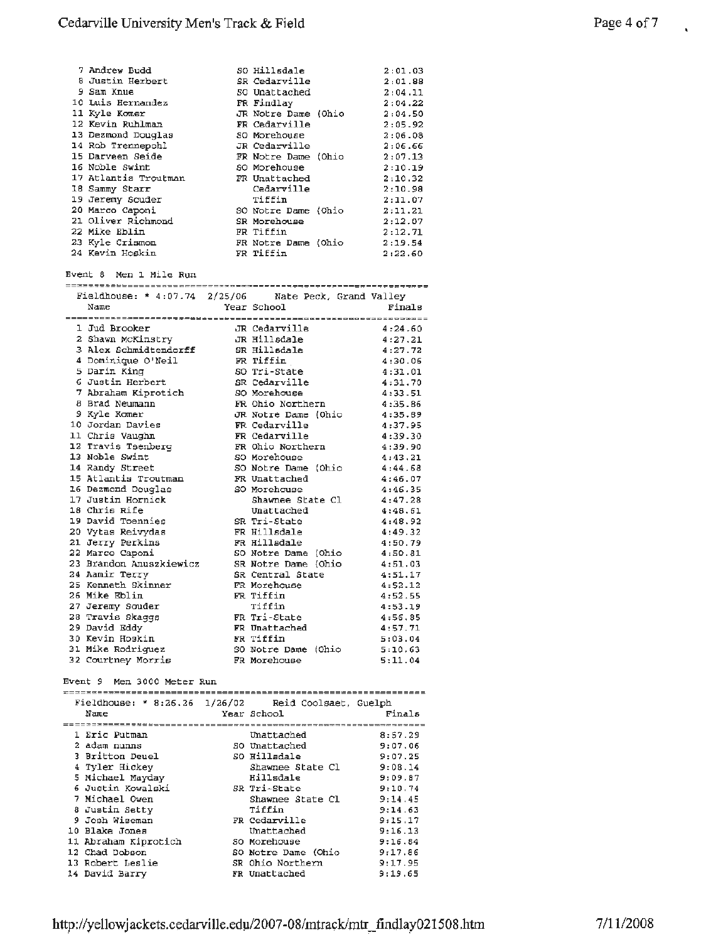|                                                                                                                                                                                                                                                                                                                                                          |            |                                                                                                                                                                                           | 2:01.03                                                                                  |
|----------------------------------------------------------------------------------------------------------------------------------------------------------------------------------------------------------------------------------------------------------------------------------------------------------------------------------------------------------|------------|-------------------------------------------------------------------------------------------------------------------------------------------------------------------------------------------|------------------------------------------------------------------------------------------|
|                                                                                                                                                                                                                                                                                                                                                          |            |                                                                                                                                                                                           | 2:01.88                                                                                  |
|                                                                                                                                                                                                                                                                                                                                                          |            |                                                                                                                                                                                           | 2:04.11                                                                                  |
|                                                                                                                                                                                                                                                                                                                                                          |            |                                                                                                                                                                                           | 2:04.22                                                                                  |
|                                                                                                                                                                                                                                                                                                                                                          |            |                                                                                                                                                                                           | 2:04.50                                                                                  |
|                                                                                                                                                                                                                                                                                                                                                          |            |                                                                                                                                                                                           | 2:05.92                                                                                  |
|                                                                                                                                                                                                                                                                                                                                                          |            |                                                                                                                                                                                           | 2:06.08                                                                                  |
|                                                                                                                                                                                                                                                                                                                                                          |            |                                                                                                                                                                                           | 2:06.66                                                                                  |
|                                                                                                                                                                                                                                                                                                                                                          |            |                                                                                                                                                                                           | 2:07.13                                                                                  |
|                                                                                                                                                                                                                                                                                                                                                          |            |                                                                                                                                                                                           | 2:10.19                                                                                  |
|                                                                                                                                                                                                                                                                                                                                                          |            |                                                                                                                                                                                           | 2:10.32                                                                                  |
|                                                                                                                                                                                                                                                                                                                                                          | Cedarville |                                                                                                                                                                                           | 2:10.98                                                                                  |
|                                                                                                                                                                                                                                                                                                                                                          | Tiffin     |                                                                                                                                                                                           | 2:11.07                                                                                  |
|                                                                                                                                                                                                                                                                                                                                                          |            |                                                                                                                                                                                           | 2:11.21                                                                                  |
|                                                                                                                                                                                                                                                                                                                                                          |            |                                                                                                                                                                                           | 2:12.07                                                                                  |
|                                                                                                                                                                                                                                                                                                                                                          |            |                                                                                                                                                                                           | 2:12.71                                                                                  |
|                                                                                                                                                                                                                                                                                                                                                          |            |                                                                                                                                                                                           | 2:19.54                                                                                  |
|                                                                                                                                                                                                                                                                                                                                                          |            |                                                                                                                                                                                           | 2:22.60                                                                                  |
| 7 Andrew Budd<br>8 Justin Herbert<br>9 Sam Knue<br>10 Luis Hernandez<br>11 Kyle Komer<br>12 Kevin Ruhlman<br>13 Dezmond Douglas<br>14 Rob Trennepohl<br>15 Darveen Seide<br>16 Noble Swint<br>17 Atlantis Troutman<br>18 Sammy Starr<br>19 Jeremy Souder<br>20 Marco Caponi<br>21 Oliver Richmond<br>22 Mike Eblin<br>23 Kyle Crismon<br>24 Kevin Hoskin |            | SO Hillsdale<br>SR Cedarville<br>50 Unattached<br>FR Findlay<br>FR Cedarville<br>SO Morehouse<br>JR Cedarville<br>SO Morehouse<br>FR Unattached<br>SR Morehouse<br>FR Tiffin<br>FR Tiffin | JR Notre Dame (Ohio<br>FR Notre Dame (Ohio<br>SO Notre Dame (Ohio<br>FR Notre Dame (Ohio |

Event 8 Men 1 Mile Run

Fieldhouse: \* 4:07.74 2/25/06 Nate Peck, Grand Valley

| Fieldhouse: * $4:07.74$ 2/25/06 Nate Peck, Grand Valley |                     |                          |
|---------------------------------------------------------|---------------------|--------------------------|
| Name                                                    | Year School         | Finals                   |
|                                                         |                     | ======================== |
| 1 Jud Brooker                                           | JR Cedarville       | 4:24.60                  |
| 2 Shawn McKinstry                                       | JR Hillsdale        | 4:27.21                  |
| 3 Alex Schmidtendorff                                   | SR Hillsdale        | 4:27.72                  |
| 4 Dominique O'Neil                                      | FR Tiffin           | 4:30.06                  |
| 5 Darin King                                            | SO Tri-State        | 4:31.01                  |
| 6 Justin Herbert                                        | SR Cedarville       | 4:31.70                  |
| 7 Abraham Kiprotich                                     | SO Morehouse        | 4:33.51                  |
| 8 Brad Neumann                                          | FR Ohio Northern    | 4:35.86                  |
| 9 Kyle Komer                                            | JR Notre Dame (Ohio | 4:35.89                  |
| 10 Jordan Davies                                        | FR Cedarville       | 4:37.95                  |
| 11 Chris Vaughn                                         | FR Cedarville       | 4:39.30                  |
| 12 Travis Tsenberg                                      | FR Ohio Northern    | 4:39.90                  |
| 13 Noble Swint                                          | SO Morehouse        | 4:43.21                  |
| 14 Randy Street                                         | SO Notre Dame (Ohio | 4:44.68                  |
| 15 Atlantis Troutman                                    | FR Unattached       | 4:46.07                  |
| 16 Dezmond Douglas                                      | SO Morehouse        | 4:46.35                  |
| 17 Justin Hornick                                       | Shawnee State Cl    | 4:47.28                  |
| 18 Chris Rife                                           | Unattached          | 4:48.61                  |
| 19 David Toennies                                       | SR Tri-State        | 4:48.92                  |
| 20 Vytas Reivydas                                       | FR Hillsdale        | 4:49.32                  |
| 21 Jerry Perkins                                        | FR Hillsdale        | 4:50.79                  |
| 22 Marco Caponi                                         | SO Notre Dame (Ohio | 4:50.81                  |
| 23 Brandon Anuszkiewicz                                 | SR Notre Dame (Ohio | 4:51.03                  |
| 24 Aamir Terry                                          | SR Central State    | 4:51.17                  |
| 25 Kenneth Skinner                                      | FR Morehouse        | 4:52.12                  |
| 26 Mike Eblin                                           | FR Tiffin           | 4:52.55                  |
| 27 Jeremy Souder                                        | Tiffin              | 4:53.19                  |
| 28 Travis Skaggs                                        | FR Tri-State        | 4:56.85                  |
| 29 David Eddy                                           | FR Unattached       | 4:57.71                  |
| 30 Kevin Hoskin                                         | FR Tiffin           | 5:03.04                  |
| 31 Mike Rodriguez                                       | SO Notre Dame (Ohio | 5:10.63                  |
| 32 Courtney Morris                                      | FR Morehouse        | 5:11.04                  |

Event 9 Men 3000 Meter Run

| Fieldhouse: * 8:26.26 1/26/02 Reid Coolsaet, Guelph |                     |         |
|-----------------------------------------------------|---------------------|---------|
| Name                                                | Year School         | Finals  |
|                                                     |                     |         |
| 1 Eric Putman                                       | Unattached          | 8:57.29 |
| 2 adam nunns                                        | SO Unattached       | 9:07.06 |
| 3 Britton Deuel                                     | SO Hilladale        | 9:07.25 |
| 4 Tyler Hickey                                      | Shawnee State Cl    | 9:08.14 |
| 5 Michael Mayday                                    | Hillsdale           | 9:09.87 |
| 6 Justin Kowalski                                   | SR Tri-State        | 9:10.74 |
| 7 Michael Owen                                      | Shawnee State Cl    | 9:14.45 |
| 8 Justin Setty                                      | Tiffin              | 9:14.63 |
| 9 Josh Wiseman                                      | FR Cedarville       | 9:15.17 |
| 10 Blake Jones                                      | Unattached          | 9:16.13 |
| 11 Abraham Kiprotich                                | SO Morehouse        | 9:16.84 |
| 12 Chad Dobson                                      | SO Notre Dame (Ohio | 9:17.86 |
| 13 Robert Leslie                                    | SR Ohio Northern    | 9:17.95 |
| 14 David Barry                                      | FR Unattached       | 9:19.65 |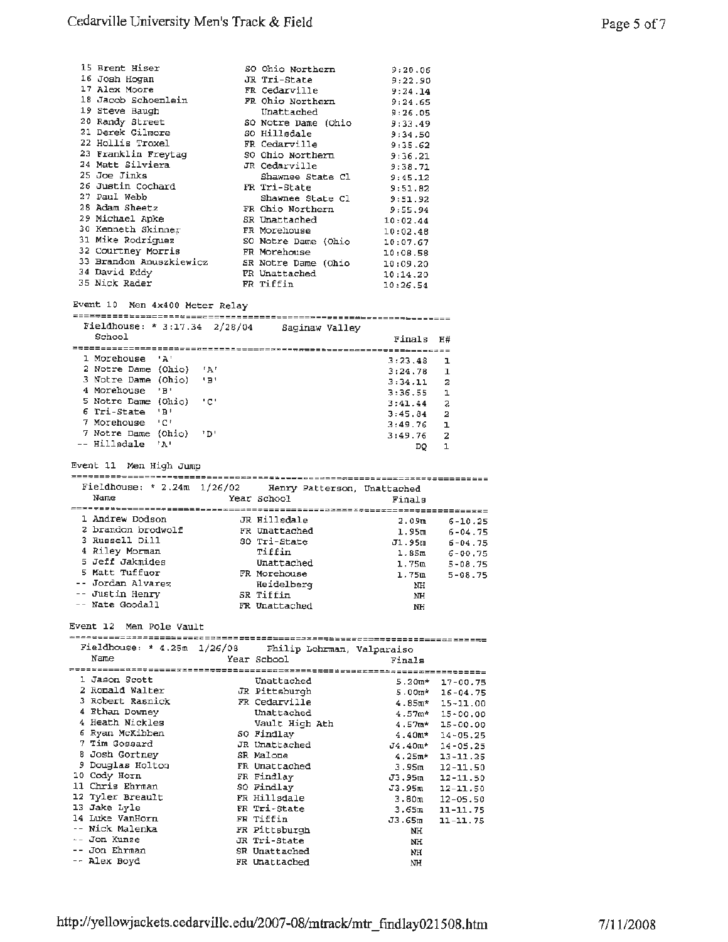| 15 Brent Hiser          | SO Ohio Northern    | 9:20.06  |
|-------------------------|---------------------|----------|
| 16 Josh Hogan           | JR Tri-State        | 9:22.90  |
| 17 Alex Moore           | FR Cedarville       | 9:24.14  |
| 18 Jacob Schoenlein     | FR Ohio Northern    | 9:24.65  |
| 19 Steve Baugh          | Unattached          | 9:26.05  |
| 20 Randy Street         | SO Notre Dame (Ohio | 9:33.49  |
| 21 Derek Gilmore        | SO Hillsdale        | 9:34.50  |
| 22 Hollis Troxel        | FR Cedarville       | 9:35.62  |
| 23 Franklin Freytag     | SO Ohio Northern    | 9:36.21  |
| 24 Matt Silviera        | JR Cedarville       | 9:38.71  |
| 25 Joe Jinks            | Shawnee State Cl    | 9:45.12  |
| 26 Justin Cochard       | FR Tri-State        | 9:51.82  |
| 27 Paul Webb            | Shawnee State Cl    | 9:51.92  |
| 28 Adam Sheetz          | FR Ohio Northern    | 9:55.94  |
| 29 Michael Apke         | SR Unattached       | 10:02.44 |
| 30 Kenneth Skinner      | FR Morehouse        | 10:02.48 |
| 31 Mike Rodriguez       | SO Notre Dame (Ohio | 10:07.67 |
| 32 Courtney Morris      | FR Morehouse        | 10:08.58 |
| 33 Brandon Anuszkiewicz | SR Notre Dame (Ohio | 10:09.20 |
| 34 David Eddy           | FR Unattached       | 10:14.20 |
| 35 Nick Rader           | FR Tiffin           | 10:26.54 |
|                         |                     |          |

Event 10 Men 4x400 Meter Relay

| Fieldhouse: * 3:17.34 $2/28/04$ |          |       | Saginaw Valley |         |    |  |  |
|---------------------------------|----------|-------|----------------|---------|----|--|--|
| School                          |          |       |                | Finals  | H# |  |  |
|                                 |          |       |                |         |    |  |  |
| 1 Morehouse                     | . ≀ 2∖ f |       |                | 3:23.48 |    |  |  |
| 2 Notre Dame (Ohio)             |          | ட் நட |                | 3:24.78 | 1  |  |  |
| 3 Notre Dame (Ohio)             |          | 'B'   |                | 3:34.11 | 2  |  |  |
| 4 Morehouse                     | "B"      |       |                | 3:36.55 |    |  |  |
| 5 Notre Dame (Ohio)             |          | 10 L  |                | 3:41.44 | 2  |  |  |
| 6 Tri-State                     | ירי      |       |                | 3:45.84 | 2  |  |  |
| 7 Morehouse                     | - 101    |       |                | 3:49.76 | ٦  |  |  |
| 7 Notre Dame                    | (Ohio)   | י מי  |                | 3:49.76 | 2  |  |  |
| -- Hillsdale                    | ா நட     |       |                | DO      |    |  |  |

Event 11 Men High Jump Fieldhouse: \* 2.24m 1/26/02 Henry Patterson, Unattached<br>Name Year School Finals Year School Finals 1 Andrew Dodson JR Hillsdale 2.09m 6-10.25

| 1 Andrew Dodson    | JR Hillsdale  | 2.09m  | $6 - 10.25$   |
|--------------------|---------------|--------|---------------|
| 2 brandon brodwolf | FR Unattached | 1.95m  | $6 - 04 - 75$ |
| 3 Russell Dill     | SO Tri-State  | J1.95m | $6 - 04.75$   |
| 4 Riley Morman     | Tiffin        | 1.85m  | $6 - 00.75$   |
| 5 Jeff Jakmides    | Unattached    | 1.75m  | $5 - 08.75$   |
| 5 Matt Tuffuor     | FR Morehouse  | 1.75m  | $5 - 08.75$   |
| -- Jordan Alvarez  | Heidelberg    | NH     |               |
| -- Justin Henry    | SR Tiffin     | NH     |               |
| -- Nate Goodall    | FR Unattached | NH     |               |

Event 12 Men Pole Vault

| Fieldhouse: * 4.25m 1/26/08 Philip Lohrman, Valparaiso |                         |                           |
|--------------------------------------------------------|-------------------------|---------------------------|
| Name                                                   | Year School <b>Sand</b> | Finals                    |
|                                                        | ----------------        |                           |
| 1 Jason Scott                                          | Unattached              | $5.20m*$<br>$17 - 00.75$  |
| 2 Ronald Walter                                        | JR Pittsburgh           | $5.00m*$<br>$16 - 04.75$  |
| 3 Robert Rasnick                                       | FR Cedarville           | 4.85π.*<br>$15 - 11.00$   |
| 4 Ethan Downey                                         | Unattached              | $4.57$ m*<br>$15 - 00.00$ |
| 4 Heath Nickles                                        | Vault High Ath          | 4.57m*<br>$15 - 00.00$    |
| 6 Ryan McKibben                                        | SO Findlay              | $4.40m*$<br>$14 - 05.25$  |
| 7 Tim Gossard                                          | JR Unattached           | J4.40m*<br>$14 - 05.25$   |
| 8 Josh Gortney                                         | SR Malone               | 4.25m *<br>$13 - 11.25$   |
| 9 Douglas Holton                                       | FR Unattached           | 3.95m<br>$12 - 11.50$     |
| 10 Cody Horn                                           | FR Findlay              | J3.95m<br>$12 - 11.50$    |
| 11 Chris Ehrman                                        | SO Findlay              | J3.95m<br>$12 - 11.50$    |
| 12 Tyler Breault                                       | FR Hillsdale            | 3.80m<br>$12 - 05.50$     |
| 13 Jake Lyle                                           | FR Tri-State            | 3.65m<br>11-11.75         |
| 14 Luke VanHorn                                        | FR Tiffin               | J3.65m<br>$11 - 11.75$    |
| -- Nick Malenka                                        | FR Pittsburgh           | NH                        |
| -- Jon Kunze                                           | JR Tri-State            | NH                        |
| -- Jon Ehrman                                          | SR Unattached           | NH                        |
| -- Alex Boyd                                           | FR Unattached           | NH                        |
|                                                        |                         |                           |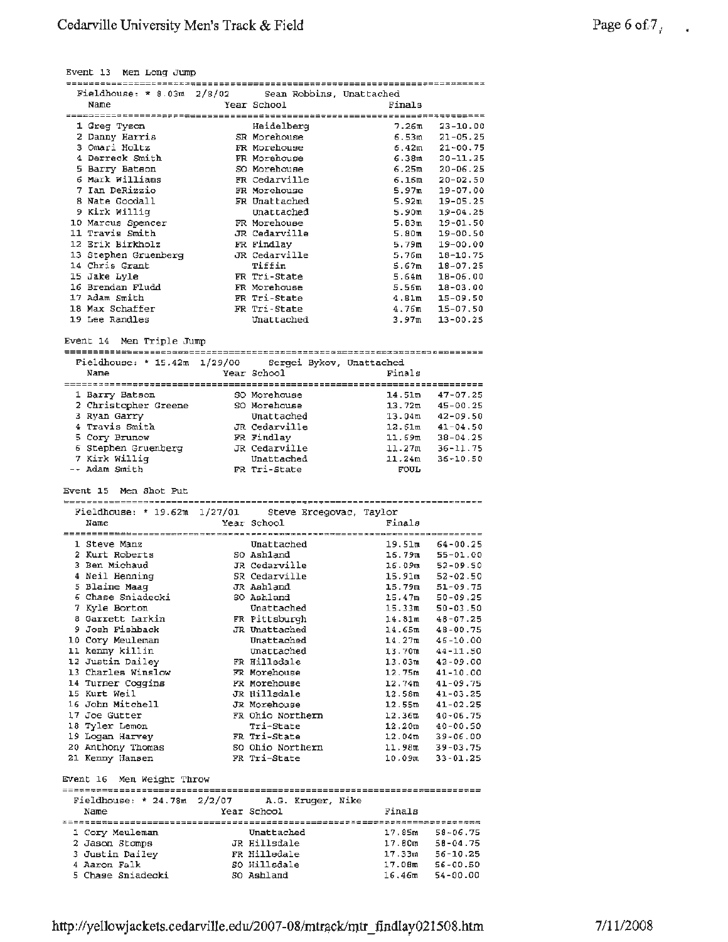| Fieldhouse: $* 8.03m - 2/8/02$                        | Sean Robbins, Unattached               |                                                            |  |
|-------------------------------------------------------|----------------------------------------|------------------------------------------------------------|--|
| Name                                                  | Year School                            | Finals                                                     |  |
| 1 Greg Tyson                                          | Heidelberg                             | 7.26m<br>23-10.00                                          |  |
| 2 Danny Harris                                        | SR Morehouse                           | 6.53ա<br>$21 - 05.25$                                      |  |
| 3 Omari Holtz                                         | FR Morehouse                           | ճ.42m<br>$21 - 00.75$                                      |  |
| 4 Derreck Smith                                       | FR Morehouse                           | 6.38m<br>$20 - 11.25$                                      |  |
| 5 Barry Batson                                        | SO Morehouse                           | 6.25m<br>$20 - 06.25$                                      |  |
| 6 Mark Williams                                       | FR Cedarville                          | 6.16m<br>$20 - 02.50$                                      |  |
| 7 Ian DeRizzio                                        | FR Morehouse                           | 5.97m<br>19-07.00                                          |  |
| 8 Nate Goodall                                        | FR Unattached                          | 5.92m<br>$19 - 05.25$                                      |  |
| 9 Kirk Willig<br>10 Marcus Spencer                    | Unattached<br>FR Morehouse             | 5.90m<br>$19 - 04.25$<br>5.83m<br>19-01.50                 |  |
| 11 Travis Smith                                       | JR Cedarville                          | 5.80m<br>$19 - 00.50$                                      |  |
| 12 Erik Birkholz                                      | FR Findlay                             | 5.79m<br>19-00.00                                          |  |
| 13 Stephen Gruenberg                                  | JR Cedarville                          | 5.76m<br>18-10.75                                          |  |
| 14 Chris Grant                                        | Tiffin                                 | 5.67m<br>$18 - 07.25$                                      |  |
| 15 Jake Lyle                                          | FR Tri-State                           | 5.64m<br>18-06.00                                          |  |
| 16 Brendan Fludd                                      | FR Morehouse                           | 5.56m<br>$18 - 03.00$                                      |  |
| 17 Adam Smith                                         | FR Tri-State                           | 4.81m<br>$15 - 09.50$                                      |  |
| 18 Max Schaffer                                       | FR Tri-State                           | 4.76m<br>$15 - 07.50$                                      |  |
| 19 Lee Randles                                        | Unattached                             | 3.97m<br>$13 - 00.25$                                      |  |
| Event 14 Men Triple Jump                              |                                        |                                                            |  |
|                                                       |                                        |                                                            |  |
| Fieldhouse: * 15.42m 1/29/00 Sergei Bykov, Unattached |                                        |                                                            |  |
| Name                                                  | Year School                            | Finals                                                     |  |
|                                                       |                                        |                                                            |  |
| 1 Barry Batson                                        | SO Morehouse                           | 14.51m<br>$47 - 07.25$                                     |  |
| 2 Christopher Greene<br>3 Ryan Garry                  | SO Morehouse<br>Unattached             | $13.72m$ $45-00.25$                                        |  |
| 4 Travis Smith                                        | JR Cedarville                          | $13.04m$ $42-09.50$<br>$12.61m$ $41-04.50$                 |  |
| 5 Cory Brunow                                         | FR Findlay                             | $38 - 04.25$                                               |  |
| 6 Stephen Gruenberg                                   | JR Cedarville                          | 11.69m<br>11.27m<br>$36 - 11.75$                           |  |
| 7 Kirk Willig                                         | Unattached                             | 11.24m<br>$36 - 10.50$                                     |  |
| -- Adam Smith                                         | FR Tri-State                           | <b>FOUL</b>                                                |  |
|                                                       |                                        |                                                            |  |
|                                                       |                                        |                                                            |  |
| Event 15 Men Shot Put                                 |                                        |                                                            |  |
|                                                       |                                        |                                                            |  |
| Fieldhouse: * 19.62m $1/27/01$<br>Name                | Steve Ercegovac, Taylor<br>Year School | Finals                                                     |  |
|                                                       |                                        |                                                            |  |
| 1 Steve Manz                                          | Unattached                             | 19.51 <sub>m</sub><br>64-00.25                             |  |
| 2 Kurt Roberts                                        | SO Ashland                             | 16.79m<br>55-01.00                                         |  |
| 3 Ben Michaud                                         | JR Cedarville                          |                                                            |  |
| 4 Neil Henning                                        | SR Cedarville                          | 16.09m 52-09.50<br>15.91m 52-02.50                         |  |
| 5 Blaine Maaq                                         | JR Aahland                             | $51 - 09.75$                                               |  |
| 6 Chase Sniadecki                                     | SO Ashland                             | 15.79m<br>15.47m<br>$50 - 09.25$                           |  |
| 7 Kyle Borton                                         | Unattached                             | 15.33m<br>$50 - 03.50$                                     |  |
| 8 Garrett Larkin<br>9 Josh Fishback                   | FR Pittsburgh<br>JR Unattached         | 14.81ա<br>$48 - 07.25$<br>14.65m<br>48-00.75               |  |
| 10 Cory Meuleman                                      | Unattached                             | 14.27m<br>$46 - 10.00$                                     |  |
| 11 kenny killin                                       | Unattached                             | 13.70m<br>44-11.50                                         |  |
| 12 Justin Dailey                                      | FR Hillsdale                           | $13.03m$ $42-09.00$                                        |  |
| 13 Charles Winslow                                    | FR Morehouse                           | 12.75m 41-10.00                                            |  |
| 14 Turner Coggins                                     | FR Morehouse                           | 12.74m<br>$41 - 09.75$                                     |  |
| 15 Kurt Weil                                          | JR Hillsdale                           |                                                            |  |
| 16 John Mitchell                                      | JR Morehouse                           | $12.58m$ $41-03.25$<br>$12.55m$ $41-02.25$                 |  |
| 17 Joe Gutter                                         | FR Ohio Northern                       |                                                            |  |
| 18 Tyler Lemon                                        | Tri-State                              | $12.36m 40 - 06.7512.20m 40 - 00.50$                       |  |
| 19 Logan Harvey                                       | FR Tri-State<br>SO Ohio Northern       | $39 - 06.00$                                               |  |
| 20 Anthony Thomas<br>21 Kenny Hansen                  | FR Tri-State                           | 12.04m<br>11.98m<br>$39 - 03.75$<br>10.09m<br>$33 - 01.25$ |  |
|                                                       |                                        |                                                            |  |
| Event 16 Men Weight Throw                             |                                        |                                                            |  |
|                                                       |                                        |                                                            |  |
| Fieldhouse: * 24.78m $2/2/07$ A.G. Kruger, Nike       |                                        |                                                            |  |
| Name                                                  | Year School                            | Finals                                                     |  |
|                                                       |                                        |                                                            |  |
| 1 Cory Meuleman<br>2 Jason Stomps                     | Unattached<br>JR Hillsdale             | 17.85m<br>$58 - 06.75$<br>$17.80m = 58-04.75$              |  |
| 3 Justin Dailey                                       | FR Hilledale                           | $17.33m$ 56-10.25                                          |  |
| 4 Aaron Falk<br>5 Chase Sniadecki                     | SO Hillsdale<br>50 Ashland             | $17.08m$ 56-00.50<br>$16.46m$ 54-00.00                     |  |